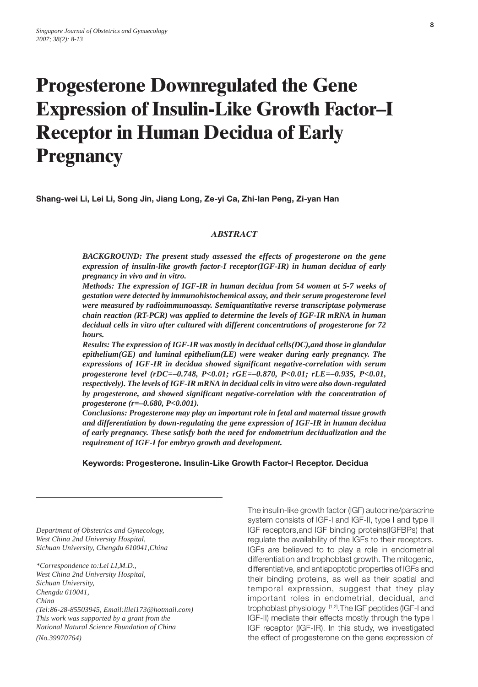# **Progesterone Downregulated the Gene Expression of Insulin-Like Growth Factor–I Receptor in Human Decidua of Early Pregnancy**

**Shang-wei Li, Lei Li, Song Jin, Jiang Long, Ze-yi Ca, Zhi-lan Peng, Zi-yan Han**

#### *ABSTRACT*

*BACKGROUND: The present study assessed the effects of progesterone on the gene expression of insulin-like growth factor-I receptor(IGF-IR) in human decidua of early pregnancy in vivo and in vitro.*

*Methods: The expression of IGF-IR in human decidua from 54 women at 5-7 weeks of gestation were detected by immunohistochemical assay, and their serum progesterone level were measured by radioimmunoassay. Semiquantitative reverse transcriptase polymerase chain reaction (RT-PCR) was applied to determine the levels of IGF-IR mRNA in human decidual cells in vitro after cultured with different concentrations of progesterone for 72 hours.*

*Results: The expression of IGF-IR was mostly in decidual cells(DC),and those in glandular epithelium(GE) and luminal epithelium(LE) were weaker during early pregnancy. The expressions of IGF-IR in decidua showed significant negative-correlation with serum progesterone level (rDC=–0.748, P<0.01; rGE=–0.870, P<0.01; rLE=–0.935, P<0.01, respectively). The levels of IGF-IR mRNA in decidual cells in vitro were also down-regulated by progesterone, and showed significant negative-correlation with the concentration of progesterone (r=–0.680, P<0.001).*

*Conclusions: Progesterone may play an important role in fetal and maternal tissue growth and differentiation by down-regulating the gene expression of IGF-IR in human decidua of early pregnancy. These satisfy both the need for endometrium decidualization and the requirement of IGF-I for embryo growth and development.*

 **Keywords: Progesterone. Insulin-Like Growth Factor-I Receptor. Decidua**

*Department of Obstetrics and Gynecology, West China 2nd University Hospital, Sichuan University, Chengdu 610041,China*

*\*Correspondence to:Lei LI,M.D., West China 2nd University Hospital, Sichuan University, Chengdu 610041, China (Tel:86-28-85503945, Email:lilei173@hotmail.com) This work was supported by a grant from the National Natural Science Foundation of China (No.39970764)*

The insulin-like growth factor (IGF) autocrine/paracrine system consists of IGF-I and IGF-II, type I and type II IGF receptors,and IGF binding proteins(IGFBPs) that regulate the availability of the IGFs to their receptors. IGFs are believed to to play a role in endometrial differentiation and trophoblast growth. The mitogenic, differentiative, and antiapoptotic properties of IGFs and their binding proteins, as well as their spatial and temporal expression, suggest that they play important roles in endometrial, decidual, and trophoblast physiology [1,2].The IGF peptides (IGF-I and IGF-II) mediate their effects mostly through the type I IGF receptor (IGF-IR). In this study, we investigated the effect of progesterone on the gene expression of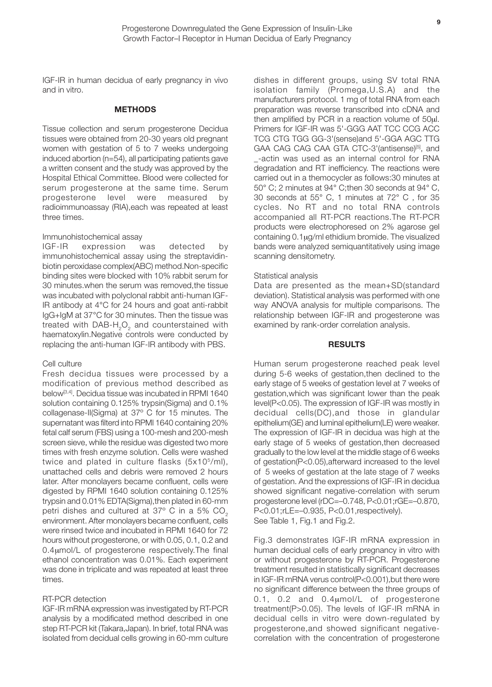**9**

IGF-IR in human decidua of early pregnancy in vivo and in vitro.

#### **METHODS**

Tissue collection and serum progesterone Decidua tissues were obtained from 20-30 years old pregnant women with gestation of 5 to 7 weeks undergoing induced abortion (n=54), all participating patients gave a written consent and the study was approved by the Hospital Ethical Committee. Blood were collected for serum progesterone at the same time. Serum progesterone level were measured by radioimmunoassay (RIA),each was repeated at least three times.

#### Immunohistochemical assay

IGF-IR expression was detected by immunohistochemical assay using the streptavidinbiotin peroxidase complex(ABC) method.Non-specific binding sites were blocked with 10% rabbit serum for 30 minutes.when the serum was removed,the tissue was incubated with polyclonal rabbit anti-human IGF-IR antibody at 4°C for 24 hours and goat anti-rabbit IgG+IgM at 37°C for 30 minutes. Then the tissue was treated with DAB- $H_2O_2$  and counterstained with haematoxylin.Negative controls were conducted by replacing the anti-human IGF-IR antibody with PBS.

#### Cell culture

Fresh decidua tissues were processed by a modification of previous method described as below[3,4]. Decidua tissue was incubated in RPMI 1640 solution containing 0.125% trypsin(Sigma) and 0.1% collagenase-II(Sigma) at 37º C for 15 minutes. The supernatant was filterd into RPMI 1640 containing 20% fetal calf serum (FBS) using a 100-mesh and 200-mesh screen sieve, while the residue was digested two more times with fresh enzyme solution. Cells were washed twice and plated in culture flasks  $(5x10^5/ml)$ , unattached cells and debris were removed 2 hours later. After monolayers became confluent, cells were digested by RPMI 1640 solution containing 0.125% trypsin and 0.01% EDTA(Sigma),then plated in 60-mm petri dishes and cultured at 37° C in a 5% CO<sub>2</sub> environment. After monolayers became confluent, cells were rinsed twice and incubated in RPMI 1640 for 72 hours without progesterone, or with 0.05, 0.1, 0.2 and 0.4µmol/L of progesterone respectively.The final ethanol concentration was 0.01%. Each experiment was done in triplicate and was repeated at least three times.

#### RT-PCR detection

IGF-IR mRNA expression was investigated by RT-PCR analysis by a modificated method described in one step RT-PCR kit (Takara,Japan). In brief, total RNA was isolated from decidual cells growing in 60-mm culture dishes in different groups, using SV total RNA isolation family (Promega,U.S.A) and the manufacturers protocol. 1 mg of total RNA from each preparation was reverse transcribed into cDNA and then amplified by PCR in a reaction volume of 50µl. Primers for IGF-IR was 5'-GGG AAT TCC CCG ACC TCG CTG TGG GG-3'(sense)and 5'-GGA AGC TTG GAA CAG CAG CAA GTA CTC-3'(antisense)<sup>[5]</sup>, and \_-actin was used as an internal control for RNA degradation and RT inefficiency. The reactions were carried out in a themocycler as follows:30 minutes at 50° C; 2 minutes at 94° C;then 30 seconds at 94° C, 30 seconds at 55° C, 1 minutes at 72° C , for 35 cycles. No RT and no total RNA controls accompanied all RT-PCR reactions.The RT-PCR products were electrophoresed on 2% agarose gel containing 0.1µg/ml ethidium bromide. The visualized bands were analyzed semiquantitatively using image scanning densitometry.

#### Statistical analysis

Data are presented as the mean+SD(standard deviation). Statistical analysis was performed with one way ANOVA analysis for multiple comparisons. The relationship between IGF-IR and progesterone was examined by rank-order correlation analysis.

#### **RESULTS**

Human serum progesterone reached peak level during 5-6 weeks of gestation,then declined to the early stage of 5 weeks of gestation level at 7 weeks of gestation,which was significant lower than the peak level(P<0.05). The expression of IGF-IR was mostly in decidual cells(DC),and those in glandular epithelium(GE) and luminal epithelium(LE) were weaker. The expression of IGF-IR in decidua was high at the early stage of 5 weeks of gestation,then decreased gradually to the low level at the middle stage of 6 weeks of gestation(P<0.05),afterward increased to the level of 5 weeks of gestation at the late stage of 7 weeks of gestation. And the expressions of IGF-IR in decidua showed significant negative-correlation with serum progesterone level (rDC=–0.748, P<0.01;rGE=–0.870, P<0.01;rLE=–0.935, P<0.01,respectively). See Table 1, Fig.1 and Fig.2.

Fig.3 demonstrates IGF-IR mRNA expression in human decidual cells of early pregnancy in vitro with or without progesterone by RT-PCR. Progesterone treatment resulted in statistically significant decreases in IGF-IR mRNA verus control(P<0.001),but there were no significant difference between the three groups of 0.1, 0.2 and 0.4µmol/L of progesterone treatment(P>0.05). The levels of IGF-IR mRNA in decidual cells in vitro were down-regulated by progesterone,and showed significant negativecorrelation with the concentration of progesterone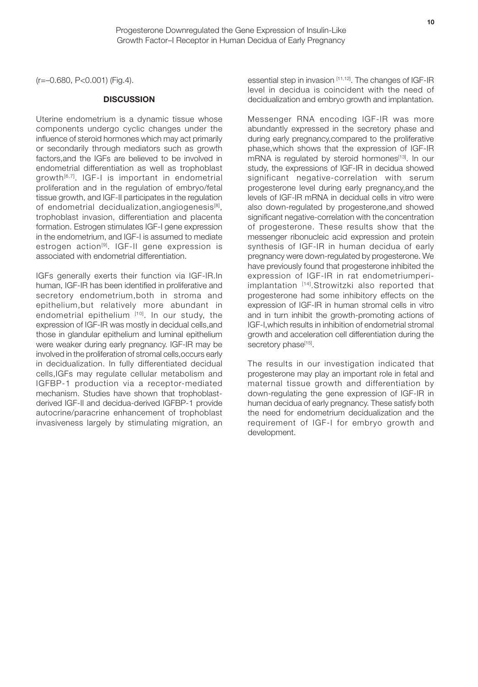(r=–0.680, P<0.001) (Fig.4).

#### **DISCUSSION**

Uterine endometrium is a dynamic tissue whose components undergo cyclic changes under the influence of steroid hormones which may act primarily or secondarily through mediators such as growth factors,and the IGFs are believed to be involved in endometrial differentiation as well as trophoblast growth<sup>[6,7]</sup>. IGF-I is important in endometrial proliferation and in the regulation of embryo/fetal tissue growth, and IGF-II participates in the regulation of endometrial decidualization, angiogenesis<sup>[8]</sup>, trophoblast invasion, differentiation and placenta formation. Estrogen stimulates IGF-I gene expression in the endometrium, and IGF-I is assumed to mediate estrogen action<sup>[9]</sup>. IGF-II gene expression is associated with endometrial differentiation.

IGFs generally exerts their function via IGF-IR.In human, IGF-IR has been identified in proliferative and secretory endometrium,both in stroma and epithelium,but relatively more abundant in endometrial epithelium [10]. In our study, the expression of IGF-IR was mostly in decidual cells,and those in glandular epithelium and luminal epithelium were weaker during early pregnancy. IGF-IR may be involved in the proliferation of stromal cells,occurs early in decidualization. In fully differentiated decidual cells,IGFs may regulate cellular metabolism and IGFBP-1 production via a receptor-mediated mechanism. Studies have shown that trophoblastderived IGF-II and decidua-derived IGFBP-1 provide autocrine/paracrine enhancement of trophoblast invasiveness largely by stimulating migration, an

essential step in invasion [11,12]. The changes of IGF-IR level in decidua is coincident with the need of decidualization and embryo growth and implantation.

Messenger RNA encoding IGF-IR was more abundantly expressed in the secretory phase and during early pregnancy,compared to the proliferative phase,which shows that the expression of IGF-IR mRNA is regulated by steroid hormones<sup>[13]</sup>. In our study, the expressions of IGF-IR in decidua showed significant negative-correlation with serum progesterone level during early pregnancy,and the levels of IGF-IR mRNA in decidual cells in vitro were also down-regulated by progesterone,and showed significant negative-correlation with the concentration of progesterone. These results show that the messenger ribonucleic acid expression and protein synthesis of IGF-IR in human decidua of early pregnancy were down-regulated by progesterone. We have previously found that progesterone inhibited the expression of IGF-IR in rat endometriumperiimplantation [14].Strowitzki also reported that progesterone had some inhibitory effects on the expression of IGF-IR in human stromal cells in vitro and in turn inhibit the growth-promoting actions of IGF-I,which results in inhibition of endometrial stromal growth and acceleration cell differentiation during the secretory phase<sup>[15]</sup>.

The results in our investigation indicated that progesterone may play an important role in fetal and maternal tissue growth and differentiation by down-regulating the gene expression of IGF-IR in human decidua of early pregnancy. These satisfy both the need for endometrium decidualization and the requirement of IGF-I for embryo growth and development.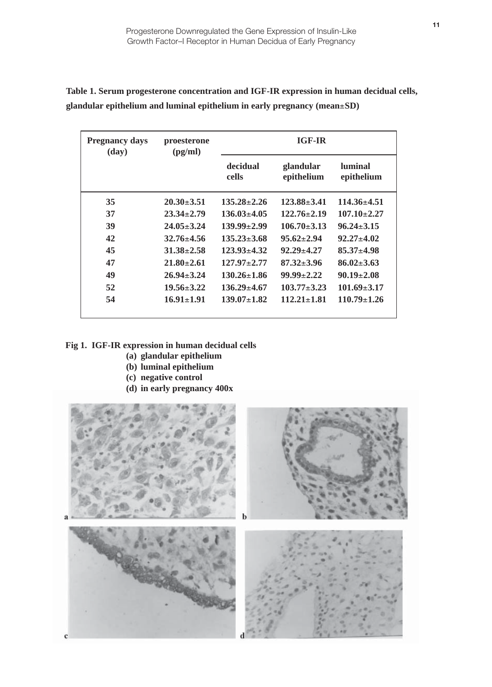| <b>Pregnancy days</b><br>(day) | proesterone<br>(pg/ml) | <b>IGF-IR</b>     |                         |                              |
|--------------------------------|------------------------|-------------------|-------------------------|------------------------------|
|                                |                        | decidual<br>cells | glandular<br>epithelium | <b>luminal</b><br>epithelium |
| 35                             | $20.30 \pm 3.51$       | $135.28 \pm 2.26$ | $123.88 \pm 3.41$       | $114.36 \pm 4.51$            |
| 37                             | $23.34 \pm 2.79$       | $136.03 \pm 4.05$ | $122.76 \pm 2.19$       | $107.10 \pm 2.27$            |
| 39                             | $24.05 \pm 3.24$       | $139.99 \pm 2.99$ | $106.70 \pm 3.13$       | $96.24 \pm 3.15$             |
| 42                             | $32.76 \pm 4.56$       | $135.23 \pm 3.68$ | $95.62 \pm 2.94$        | $92.27 \pm 4.02$             |
| 45                             | $31.38 \pm 2.58$       | $123.93 \pm 4.32$ | $92.29 + 4.27$          | $85.37 \pm 4.98$             |
| 47                             | $21.80 \pm 2.61$       | $127.97 + 2.77$   | $87.32 \pm 3.96$        | $86.02 \pm 3.63$             |
| 49                             | $26.94 \pm 3.24$       | $130.26 \pm 1.86$ | $99.99 \pm 2.22$        | $90.19 \pm 2.08$             |
| 52                             | $19.56 \pm 3.22$       | $136.29 \pm 4.67$ | $103.77 \pm 3.23$       | $101.69 \pm 3.17$            |
| 54                             | $16.91 \pm 1.91$       | $139.07 \pm 1.82$ | $112.21 \pm 1.81$       | $110.79 \pm 1.26$            |

**Table 1. Serum progesterone concentration and IGF-IR expression in human decidual cells, glandular epithelium and luminal epithelium in early pregnancy (mean**±**SD)**

### **Fig 1. IGF-IR expression in human decidual cells**

- **(a) glandular epithelium**
- **(b) luminal epithelium**
- **(c) negative control**
- **(d) in early pregnancy 400x**

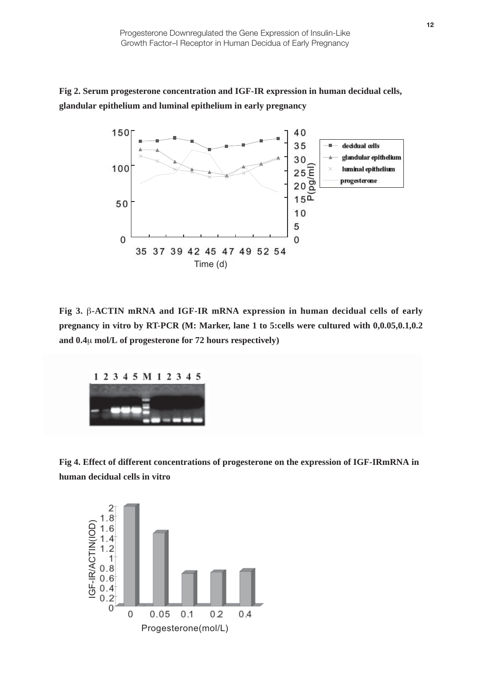## **Fig 2. Serum progesterone concentration and IGF-IR expression in human decidual cells, glandular epithelium and luminal epithelium in early pregnancy**



**Fig 3.** β**-ACTIN mRNA and IGF-IR mRNA expression in human decidual cells of early pregnancy in vitro by RT-PCR (M: Marker, lane 1 to 5:cells were cultured with 0,0.05,0.1,0.2 and 0.4**µ **mol/L of progesterone for 72 hours respectively)**



**Fig 4. Effect of different concentrations of progesterone on the expression of IGF-IRmRNA in human decidual cells in vitro**